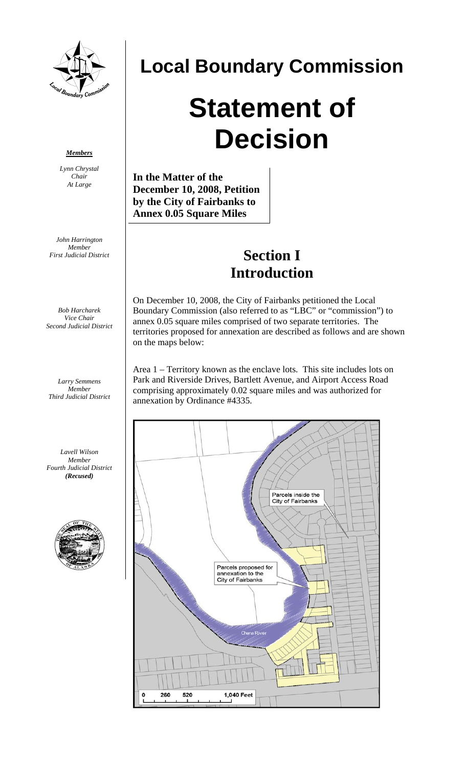

## **Local Boundary Commission**

# **Statement of Decision**

**In the Matter of the December 10, 2008, Petition by the City of Fairbanks to Annex 0.05 Square Miles**

### **Section I Introduction**

On December 10, 2008, the City of Fairbanks petitioned the Local Boundary Commission (also referred to as "LBC" or "commission") to annex 0.05 square miles comprised of two separate territories. The territories proposed for annexation are described as follows and are shown on the maps below:

Area 1 – Territory known as the enclave lots. This site includes lots on Park and Riverside Drives, Bartlett Avenue, and Airport Access Road comprising approximately 0.02 square miles and was authorized for annexation by Ordinance #4335.



#### *Members*

*Lynn Chrystal Chair At Large* 

*John Harrington Member First Judicial District* 

*Bob Harcharek Vice Chair Second Judicial District* 

*Larry Semmens Member Third Judicial District* 

*Lavell Wilson Member Fourth Judicial District (Recused)* 

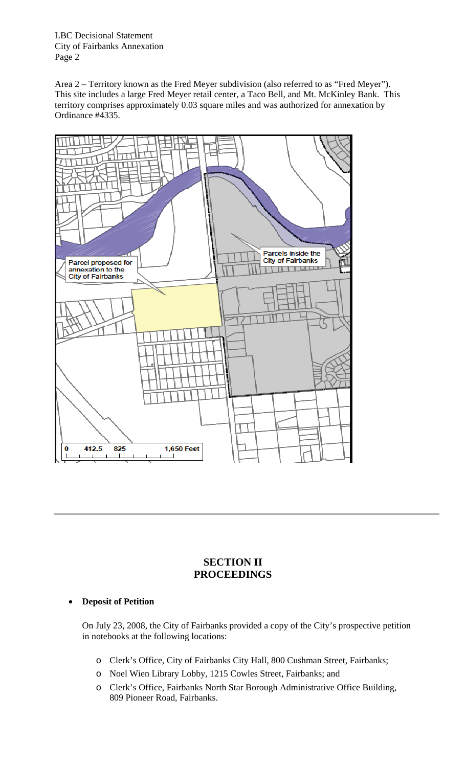Area 2 – Territory known as the Fred Meyer subdivision (also referred to as "Fred Meyer"). This site includes a large Fred Meyer retail center, a Taco Bell, and Mt. McKinley Bank. This territory comprises approximately 0.03 square miles and was authorized for annexation by Ordinance #4335.



#### **SECTION II PROCEEDINGS**

#### **Deposit of Petition**

On July 23, 2008, the City of Fairbanks provided a copy of the City's prospective petition in notebooks at the following locations:

- o Clerk's Office, City of Fairbanks City Hall, 800 Cushman Street, Fairbanks;
- o Noel Wien Library Lobby, 1215 Cowles Street, Fairbanks; and
- o Clerk's Office, Fairbanks North Star Borough Administrative Office Building, 809 Pioneer Road, Fairbanks.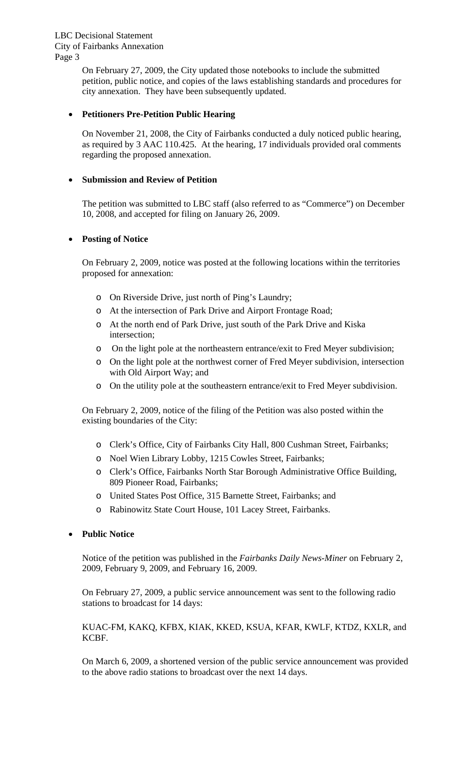On February 27, 2009, the City updated those notebooks to include the submitted petition, public notice, and copies of the laws establishing standards and procedures for city annexation. They have been subsequently updated.

#### **Petitioners Pre-Petition Public Hearing**

On November 21, 2008, the City of Fairbanks conducted a duly noticed public hearing, as required by 3 AAC 110.425. At the hearing, 17 individuals provided oral comments regarding the proposed annexation.

#### **Submission and Review of Petition**

The petition was submitted to LBC staff (also referred to as "Commerce") on December 10, 2008, and accepted for filing on January 26, 2009.

#### **Posting of Notice**

On February 2, 2009, notice was posted at the following locations within the territories proposed for annexation:

- o On Riverside Drive, just north of Ping's Laundry;
- o At the intersection of Park Drive and Airport Frontage Road;
- o At the north end of Park Drive, just south of the Park Drive and Kiska intersection;
- o On the light pole at the northeastern entrance/exit to Fred Meyer subdivision;
- o On the light pole at the northwest corner of Fred Meyer subdivision, intersection with Old Airport Way; and
- o On the utility pole at the southeastern entrance/exit to Fred Meyer subdivision.

On February 2, 2009, notice of the filing of the Petition was also posted within the existing boundaries of the City:

- o Clerk's Office, City of Fairbanks City Hall, 800 Cushman Street, Fairbanks;
- o Noel Wien Library Lobby, 1215 Cowles Street, Fairbanks;
- o Clerk's Office, Fairbanks North Star Borough Administrative Office Building, 809 Pioneer Road, Fairbanks;
- o United States Post Office, 315 Barnette Street, Fairbanks; and
- o Rabinowitz State Court House, 101 Lacey Street, Fairbanks.

#### **Public Notice**

Notice of the petition was published in the *Fairbanks Daily News-Miner* on February 2, 2009, February 9, 2009, and February 16, 2009.

On February 27, 2009, a public service announcement was sent to the following radio stations to broadcast for 14 days:

#### KUAC-FM, KAKQ, KFBX, KIAK, KKED, KSUA, KFAR, KWLF, KTDZ, KXLR, and KCBF.

On March 6, 2009, a shortened version of the public service announcement was provided to the above radio stations to broadcast over the next 14 days.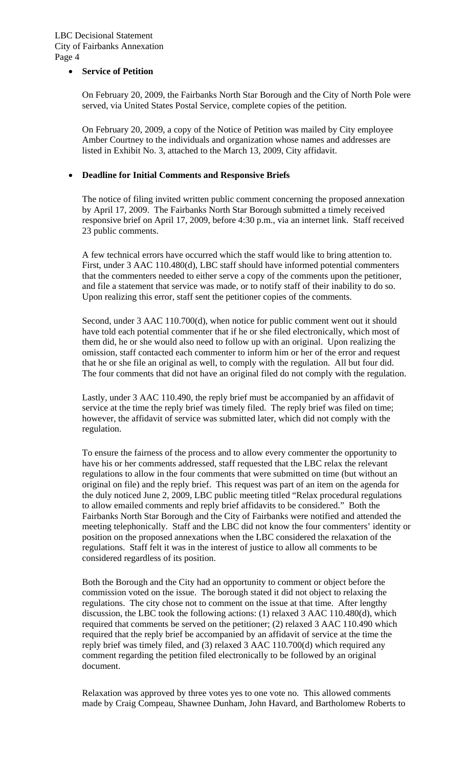#### **Service of Petition**

On February 20, 2009, the Fairbanks North Star Borough and the City of North Pole were served, via United States Postal Service, complete copies of the petition.

On February 20, 2009, a copy of the Notice of Petition was mailed by City employee Amber Courtney to the individuals and organization whose names and addresses are listed in Exhibit No. 3, attached to the March 13, 2009, City affidavit.

#### **Deadline for Initial Comments and Responsive Briefs**

The notice of filing invited written public comment concerning the proposed annexation by April 17, 2009. The Fairbanks North Star Borough submitted a timely received responsive brief on April 17, 2009, before 4:30 p.m., via an internet link. Staff received 23 public comments.

A few technical errors have occurred which the staff would like to bring attention to. First, under 3 AAC 110.480(d), LBC staff should have informed potential commenters that the commenters needed to either serve a copy of the comments upon the petitioner, and file a statement that service was made, or to notify staff of their inability to do so. Upon realizing this error, staff sent the petitioner copies of the comments.

Second, under 3 AAC 110.700(d), when notice for public comment went out it should have told each potential commenter that if he or she filed electronically, which most of them did, he or she would also need to follow up with an original. Upon realizing the omission, staff contacted each commenter to inform him or her of the error and request that he or she file an original as well, to comply with the regulation. All but four did. The four comments that did not have an original filed do not comply with the regulation.

Lastly, under 3 AAC 110.490, the reply brief must be accompanied by an affidavit of service at the time the reply brief was timely filed. The reply brief was filed on time; however, the affidavit of service was submitted later, which did not comply with the regulation.

To ensure the fairness of the process and to allow every commenter the opportunity to have his or her comments addressed, staff requested that the LBC relax the relevant regulations to allow in the four comments that were submitted on time (but without an original on file) and the reply brief. This request was part of an item on the agenda for the duly noticed June 2, 2009, LBC public meeting titled "Relax procedural regulations to allow emailed comments and reply brief affidavits to be considered." Both the Fairbanks North Star Borough and the City of Fairbanks were notified and attended the meeting telephonically. Staff and the LBC did not know the four commenters' identity or position on the proposed annexations when the LBC considered the relaxation of the regulations. Staff felt it was in the interest of justice to allow all comments to be considered regardless of its position.

Both the Borough and the City had an opportunity to comment or object before the commission voted on the issue. The borough stated it did not object to relaxing the regulations. The city chose not to comment on the issue at that time. After lengthy discussion, the LBC took the following actions: (1) relaxed 3 AAC 110.480(d), which required that comments be served on the petitioner; (2) relaxed 3 AAC 110.490 which required that the reply brief be accompanied by an affidavit of service at the time the reply brief was timely filed, and (3) relaxed 3 AAC 110.700(d) which required any comment regarding the petition filed electronically to be followed by an original document.

Relaxation was approved by three votes yes to one vote no. This allowed comments made by Craig Compeau, Shawnee Dunham, John Havard, and Bartholomew Roberts to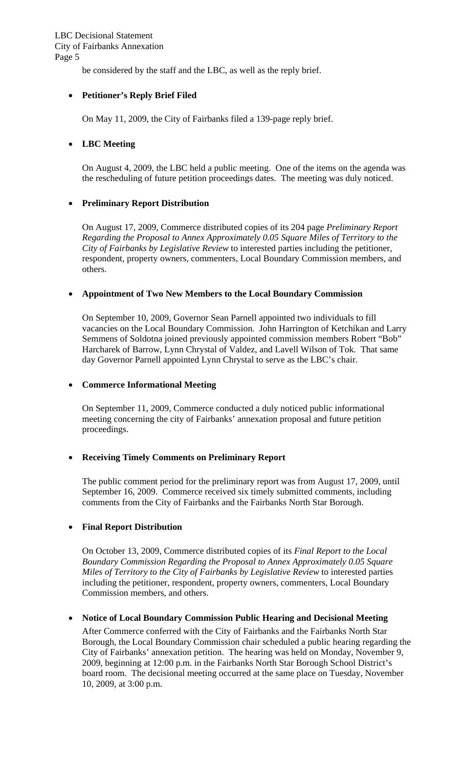be considered by the staff and the LBC, as well as the reply brief.

#### **Petitioner's Reply Brief Filed**

On May 11, 2009, the City of Fairbanks filed a 139-page reply brief.

#### **LBC Meeting**

On August 4, 2009, the LBC held a public meeting. One of the items on the agenda was the rescheduling of future petition proceedings dates. The meeting was duly noticed.

#### **Preliminary Report Distribution**

On August 17, 2009, Commerce distributed copies of its 204 page *Preliminary Report Regarding the Proposal to Annex Approximately 0.05 Square Miles of Territory to the City of Fairbanks by Legislative Review* to interested parties including the petitioner, respondent, property owners, commenters, Local Boundary Commission members, and others.

#### **Appointment of Two New Members to the Local Boundary Commission**

On September 10, 2009, Governor Sean Parnell appointed two individuals to fill vacancies on the Local Boundary Commission. John Harrington of Ketchikan and Larry Semmens of Soldotna joined previously appointed commission members Robert "Bob" Harcharek of Barrow, Lynn Chrystal of Valdez, and Lavell Wilson of Tok. That same day Governor Parnell appointed Lynn Chrystal to serve as the LBC's chair.

#### **Commerce Informational Meeting**

On September 11, 2009, Commerce conducted a duly noticed public informational meeting concerning the city of Fairbanks' annexation proposal and future petition proceedings.

#### **Receiving Timely Comments on Preliminary Report**

The public comment period for the preliminary report was from August 17, 2009, until September 16, 2009. Commerce received six timely submitted comments, including comments from the City of Fairbanks and the Fairbanks North Star Borough.

#### **Final Report Distribution**

On October 13, 2009, Commerce distributed copies of its *Final Report to the Local Boundary Commission Regarding the Proposal to Annex Approximately 0.05 Square Miles of Territory to the City of Fairbanks by Legislative Review* to interested parties including the petitioner, respondent, property owners, commenters, Local Boundary Commission members, and others.

#### **Notice of Local Boundary Commission Public Hearing and Decisional Meeting**

After Commerce conferred with the City of Fairbanks and the Fairbanks North Star Borough, the Local Boundary Commission chair scheduled a public hearing regarding the City of Fairbanks' annexation petition. The hearing was held on Monday, November 9, 2009, beginning at 12:00 p.m. in the Fairbanks North Star Borough School District's board room. The decisional meeting occurred at the same place on Tuesday, November 10, 2009, at 3:00 p.m.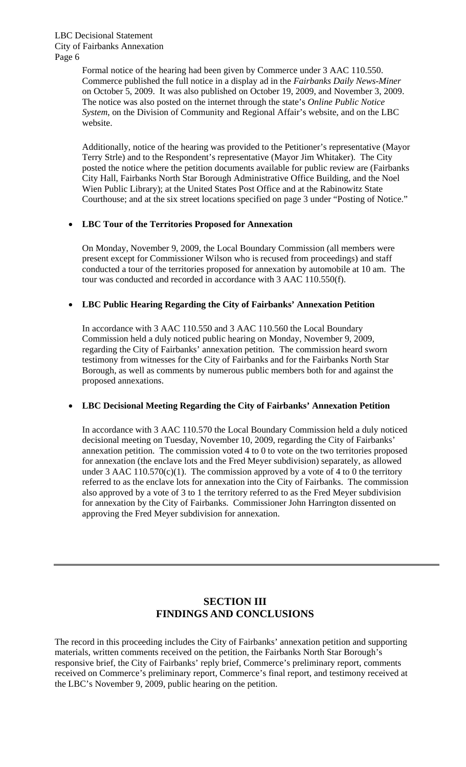Formal notice of the hearing had been given by Commerce under 3 AAC 110.550. Commerce published the full notice in a display ad in the *Fairbanks Daily News-Miner*  on October 5, 2009. It was also published on October 19, 2009, and November 3, 2009. The notice was also posted on the internet through the state's *Online Public Notice System*, on the Division of Community and Regional Affair's website, and on the LBC website.

Additionally, notice of the hearing was provided to the Petitioner's representative (Mayor Terry Strle) and to the Respondent's representative (Mayor Jim Whitaker). The City posted the notice where the petition documents available for public review are (Fairbanks City Hall, Fairbanks North Star Borough Administrative Office Building, and the Noel Wien Public Library); at the United States Post Office and at the Rabinowitz State Courthouse; and at the six street locations specified on page 3 under "Posting of Notice."

#### **LBC Tour of the Territories Proposed for Annexation**

On Monday, November 9, 2009, the Local Boundary Commission (all members were present except for Commissioner Wilson who is recused from proceedings) and staff conducted a tour of the territories proposed for annexation by automobile at 10 am. The tour was conducted and recorded in accordance with 3 AAC 110.550(f).

#### **LBC Public Hearing Regarding the City of Fairbanks' Annexation Petition**

In accordance with 3 AAC 110.550 and 3 AAC 110.560 the Local Boundary Commission held a duly noticed public hearing on Monday, November 9, 2009, regarding the City of Fairbanks' annexation petition. The commission heard sworn testimony from witnesses for the City of Fairbanks and for the Fairbanks North Star Borough, as well as comments by numerous public members both for and against the proposed annexations.

#### **LBC Decisional Meeting Regarding the City of Fairbanks' Annexation Petition**

In accordance with 3 AAC 110.570 the Local Boundary Commission held a duly noticed decisional meeting on Tuesday, November 10, 2009, regarding the City of Fairbanks' annexation petition. The commission voted 4 to 0 to vote on the two territories proposed for annexation (the enclave lots and the Fred Meyer subdivision) separately, as allowed under 3 AAC 110.570(c)(1). The commission approved by a vote of 4 to 0 the territory referred to as the enclave lots for annexation into the City of Fairbanks. The commission also approved by a vote of 3 to 1 the territory referred to as the Fred Meyer subdivision for annexation by the City of Fairbanks. Commissioner John Harrington dissented on approving the Fred Meyer subdivision for annexation.

#### **SECTION III FINDINGS AND CONCLUSIONS**

The record in this proceeding includes the City of Fairbanks' annexation petition and supporting materials, written comments received on the petition, the Fairbanks North Star Borough's responsive brief, the City of Fairbanks' reply brief, Commerce's preliminary report, comments received on Commerce's preliminary report, Commerce's final report, and testimony received at the LBC's November 9, 2009, public hearing on the petition.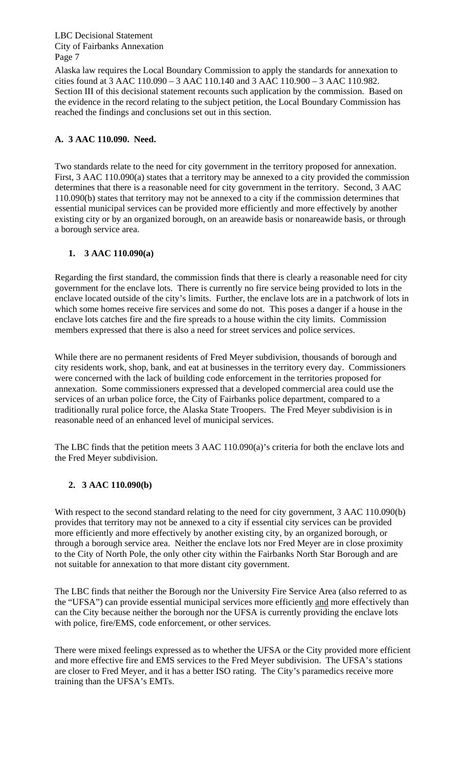Alaska law requires the Local Boundary Commission to apply the standards for annexation to cities found at 3 AAC 110.090 – 3 AAC 110.140 and 3 AAC 110.900 – 3 AAC 110.982. Section III of this decisional statement recounts such application by the commission. Based on the evidence in the record relating to the subject petition, the Local Boundary Commission has reached the findings and conclusions set out in this section.

#### **A. 3 AAC 110.090. Need.**

Two standards relate to the need for city government in the territory proposed for annexation. First, 3 AAC 110.090(a) states that a territory may be annexed to a city provided the commission determines that there is a reasonable need for city government in the territory. Second, 3 AAC 110.090(b) states that territory may not be annexed to a city if the commission determines that essential municipal services can be provided more efficiently and more effectively by another existing city or by an organized borough, on an areawide basis or nonareawide basis, or through a borough service area.

#### **1. 3 AAC 110.090(a)**

Regarding the first standard, the commission finds that there is clearly a reasonable need for city government for the enclave lots. There is currently no fire service being provided to lots in the enclave located outside of the city's limits. Further, the enclave lots are in a patchwork of lots in which some homes receive fire services and some do not. This poses a danger if a house in the enclave lots catches fire and the fire spreads to a house within the city limits. Commission members expressed that there is also a need for street services and police services.

While there are no permanent residents of Fred Meyer subdivision, thousands of borough and city residents work, shop, bank, and eat at businesses in the territory every day. Commissioners were concerned with the lack of building code enforcement in the territories proposed for annexation. Some commissioners expressed that a developed commercial area could use the services of an urban police force, the City of Fairbanks police department, compared to a traditionally rural police force, the Alaska State Troopers. The Fred Meyer subdivision is in reasonable need of an enhanced level of municipal services.

The LBC finds that the petition meets 3 AAC 110.090(a)'s criteria for both the enclave lots and the Fred Meyer subdivision.

#### **2. 3 AAC 110.090(b)**

With respect to the second standard relating to the need for city government, 3 AAC 110.090(b) provides that territory may not be annexed to a city if essential city services can be provided more efficiently and more effectively by another existing city, by an organized borough, or through a borough service area. Neither the enclave lots nor Fred Meyer are in close proximity to the City of North Pole, the only other city within the Fairbanks North Star Borough and are not suitable for annexation to that more distant city government.

The LBC finds that neither the Borough nor the University Fire Service Area (also referred to as the "UFSA") can provide essential municipal services more efficiently and more effectively than can the City because neither the borough nor the UFSA is currently providing the enclave lots with police, fire/EMS, code enforcement, or other services.

There were mixed feelings expressed as to whether the UFSA or the City provided more efficient and more effective fire and EMS services to the Fred Meyer subdivision. The UFSA's stations are closer to Fred Meyer, and it has a better ISO rating. The City's paramedics receive more training than the UFSA's EMTs.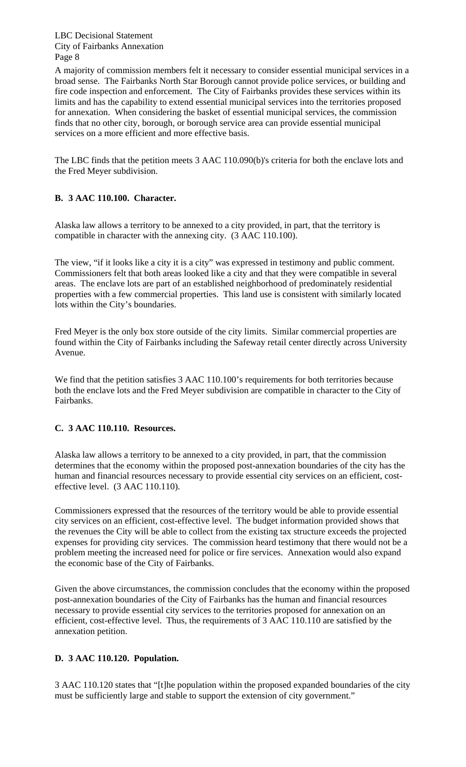A majority of commission members felt it necessary to consider essential municipal services in a broad sense. The Fairbanks North Star Borough cannot provide police services, or building and fire code inspection and enforcement. The City of Fairbanks provides these services within its limits and has the capability to extend essential municipal services into the territories proposed for annexation. When considering the basket of essential municipal services, the commission finds that no other city, borough, or borough service area can provide essential municipal services on a more efficient and more effective basis.

The LBC finds that the petition meets 3 AAC 110.090(b)'s criteria for both the enclave lots and the Fred Meyer subdivision.

#### **B. 3 AAC 110.100. Character.**

Alaska law allows a territory to be annexed to a city provided, in part, that the territory is compatible in character with the annexing city. (3 AAC 110.100).

The view, "if it looks like a city it is a city" was expressed in testimony and public comment. Commissioners felt that both areas looked like a city and that they were compatible in several areas. The enclave lots are part of an established neighborhood of predominately residential properties with a few commercial properties. This land use is consistent with similarly located lots within the City's boundaries.

Fred Meyer is the only box store outside of the city limits. Similar commercial properties are found within the City of Fairbanks including the Safeway retail center directly across University Avenue.

We find that the petition satisfies 3 AAC 110.100's requirements for both territories because both the enclave lots and the Fred Meyer subdivision are compatible in character to the City of Fairbanks.

#### **C. 3 AAC 110.110. Resources.**

Alaska law allows a territory to be annexed to a city provided, in part, that the commission determines that the economy within the proposed post-annexation boundaries of the city has the human and financial resources necessary to provide essential city services on an efficient, costeffective level. (3 AAC 110.110).

Commissioners expressed that the resources of the territory would be able to provide essential city services on an efficient, cost-effective level. The budget information provided shows that the revenues the City will be able to collect from the existing tax structure exceeds the projected expenses for providing city services. The commission heard testimony that there would not be a problem meeting the increased need for police or fire services. Annexation would also expand the economic base of the City of Fairbanks.

Given the above circumstances, the commission concludes that the economy within the proposed post-annexation boundaries of the City of Fairbanks has the human and financial resources necessary to provide essential city services to the territories proposed for annexation on an efficient, cost-effective level. Thus, the requirements of 3 AAC 110.110 are satisfied by the annexation petition.

#### **D. 3 AAC 110.120. Population.**

3 AAC 110.120 states that "[t]he population within the proposed expanded boundaries of the city must be sufficiently large and stable to support the extension of city government."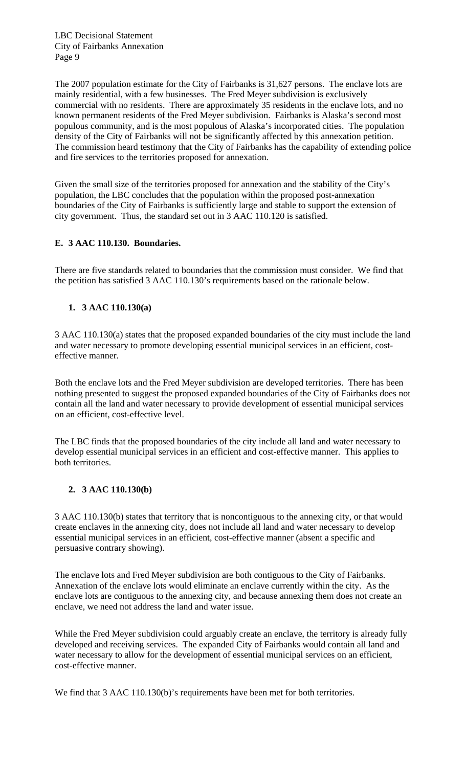The 2007 population estimate for the City of Fairbanks is 31,627 persons. The enclave lots are mainly residential, with a few businesses. The Fred Meyer subdivision is exclusively commercial with no residents. There are approximately 35 residents in the enclave lots, and no known permanent residents of the Fred Meyer subdivision. Fairbanks is Alaska's second most populous community, and is the most populous of Alaska's incorporated cities. The population density of the City of Fairbanks will not be significantly affected by this annexation petition. The commission heard testimony that the City of Fairbanks has the capability of extending police and fire services to the territories proposed for annexation.

Given the small size of the territories proposed for annexation and the stability of the City's population, the LBC concludes that the population within the proposed post-annexation boundaries of the City of Fairbanks is sufficiently large and stable to support the extension of city government. Thus, the standard set out in 3 AAC 110.120 is satisfied.

#### **E. 3 AAC 110.130. Boundaries.**

There are five standards related to boundaries that the commission must consider. We find that the petition has satisfied 3 AAC 110.130's requirements based on the rationale below.

#### **1. 3 AAC 110.130(a)**

3 AAC 110.130(a) states that the proposed expanded boundaries of the city must include the land and water necessary to promote developing essential municipal services in an efficient, costeffective manner.

Both the enclave lots and the Fred Meyer subdivision are developed territories. There has been nothing presented to suggest the proposed expanded boundaries of the City of Fairbanks does not contain all the land and water necessary to provide development of essential municipal services on an efficient, cost-effective level.

The LBC finds that the proposed boundaries of the city include all land and water necessary to develop essential municipal services in an efficient and cost-effective manner. This applies to both territories.

#### **2. 3 AAC 110.130(b)**

3 AAC 110.130(b) states that territory that is noncontiguous to the annexing city, or that would create enclaves in the annexing city, does not include all land and water necessary to develop essential municipal services in an efficient, cost-effective manner (absent a specific and persuasive contrary showing).

The enclave lots and Fred Meyer subdivision are both contiguous to the City of Fairbanks. Annexation of the enclave lots would eliminate an enclave currently within the city. As the enclave lots are contiguous to the annexing city, and because annexing them does not create an enclave, we need not address the land and water issue.

While the Fred Meyer subdivision could arguably create an enclave, the territory is already fully developed and receiving services. The expanded City of Fairbanks would contain all land and water necessary to allow for the development of essential municipal services on an efficient, cost-effective manner.

We find that 3 AAC 110.130(b)'s requirements have been met for both territories.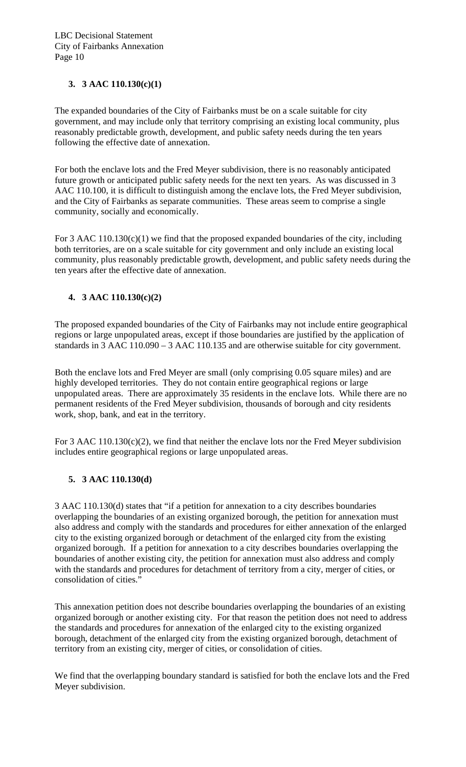#### **3. 3 AAC 110.130(c)(1)**

The expanded boundaries of the City of Fairbanks must be on a scale suitable for city government, and may include only that territory comprising an existing local community, plus reasonably predictable growth, development, and public safety needs during the ten years following the effective date of annexation.

For both the enclave lots and the Fred Meyer subdivision, there is no reasonably anticipated future growth or anticipated public safety needs for the next ten years. As was discussed in 3 AAC 110.100, it is difficult to distinguish among the enclave lots, the Fred Meyer subdivision, and the City of Fairbanks as separate communities. These areas seem to comprise a single community, socially and economically.

For 3 AAC 110.130(c)(1) we find that the proposed expanded boundaries of the city, including both territories, are on a scale suitable for city government and only include an existing local community, plus reasonably predictable growth, development, and public safety needs during the ten years after the effective date of annexation.

#### **4. 3 AAC 110.130(c)(2)**

The proposed expanded boundaries of the City of Fairbanks may not include entire geographical regions or large unpopulated areas, except if those boundaries are justified by the application of standards in 3 AAC 110.090 – 3 AAC 110.135 and are otherwise suitable for city government.

Both the enclave lots and Fred Meyer are small (only comprising 0.05 square miles) and are highly developed territories. They do not contain entire geographical regions or large unpopulated areas. There are approximately 35 residents in the enclave lots. While there are no permanent residents of the Fred Meyer subdivision, thousands of borough and city residents work, shop, bank, and eat in the territory.

For 3 AAC 110.130(c)(2), we find that neither the enclave lots nor the Fred Meyer subdivision includes entire geographical regions or large unpopulated areas.

#### **5. 3 AAC 110.130(d)**

3 AAC 110.130(d) states that "if a petition for annexation to a city describes boundaries overlapping the boundaries of an existing organized borough, the petition for annexation must also address and comply with the standards and procedures for either annexation of the enlarged city to the existing organized borough or detachment of the enlarged city from the existing organized borough. If a petition for annexation to a city describes boundaries overlapping the boundaries of another existing city, the petition for annexation must also address and comply with the standards and procedures for detachment of territory from a city, merger of cities, or consolidation of cities."

This annexation petition does not describe boundaries overlapping the boundaries of an existing organized borough or another existing city. For that reason the petition does not need to address the standards and procedures for annexation of the enlarged city to the existing organized borough, detachment of the enlarged city from the existing organized borough, detachment of territory from an existing city, merger of cities, or consolidation of cities.

We find that the overlapping boundary standard is satisfied for both the enclave lots and the Fred Meyer subdivision.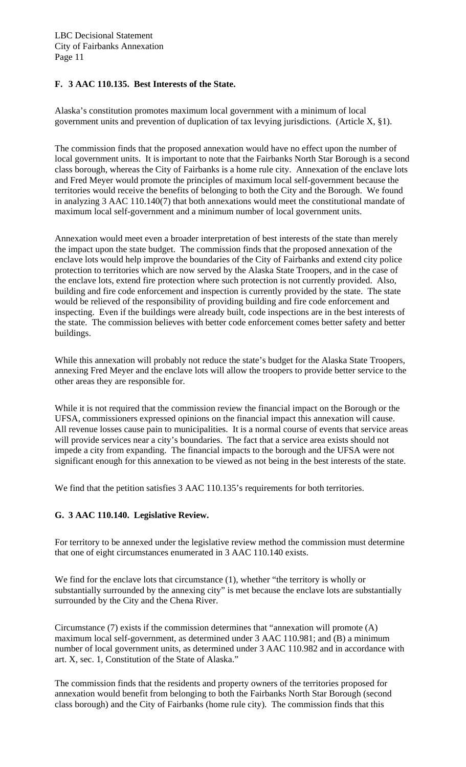#### **F. 3 AAC 110.135. Best Interests of the State.**

Alaska's constitution promotes maximum local government with a minimum of local government units and prevention of duplication of tax levying jurisdictions. (Article X, §1).

The commission finds that the proposed annexation would have no effect upon the number of local government units. It is important to note that the Fairbanks North Star Borough is a second class borough, whereas the City of Fairbanks is a home rule city. Annexation of the enclave lots and Fred Meyer would promote the principles of maximum local self-government because the territories would receive the benefits of belonging to both the City and the Borough. We found in analyzing 3 AAC 110.140(7) that both annexations would meet the constitutional mandate of maximum local self-government and a minimum number of local government units.

Annexation would meet even a broader interpretation of best interests of the state than merely the impact upon the state budget. The commission finds that the proposed annexation of the enclave lots would help improve the boundaries of the City of Fairbanks and extend city police protection to territories which are now served by the Alaska State Troopers, and in the case of the enclave lots, extend fire protection where such protection is not currently provided. Also, building and fire code enforcement and inspection is currently provided by the state. The state would be relieved of the responsibility of providing building and fire code enforcement and inspecting. Even if the buildings were already built, code inspections are in the best interests of the state. The commission believes with better code enforcement comes better safety and better buildings.

While this annexation will probably not reduce the state's budget for the Alaska State Troopers, annexing Fred Meyer and the enclave lots will allow the troopers to provide better service to the other areas they are responsible for.

While it is not required that the commission review the financial impact on the Borough or the UFSA, commissioners expressed opinions on the financial impact this annexation will cause. All revenue losses cause pain to municipalities. It is a normal course of events that service areas will provide services near a city's boundaries. The fact that a service area exists should not impede a city from expanding. The financial impacts to the borough and the UFSA were not significant enough for this annexation to be viewed as not being in the best interests of the state.

We find that the petition satisfies 3 AAC 110.135's requirements for both territories.

#### **G. 3 AAC 110.140. Legislative Review.**

For territory to be annexed under the legislative review method the commission must determine that one of eight circumstances enumerated in 3 AAC 110.140 exists.

We find for the enclave lots that circumstance (1), whether "the territory is wholly or substantially surrounded by the annexing city" is met because the enclave lots are substantially surrounded by the City and the Chena River.

Circumstance (7) exists if the commission determines that "annexation will promote (A) maximum local self-government, as determined under 3 AAC 110.981; and (B) a minimum number of local government units, as determined under 3 AAC 110.982 and in accordance with art. X, sec. 1, Constitution of the State of Alaska."

The commission finds that the residents and property owners of the territories proposed for annexation would benefit from belonging to both the Fairbanks North Star Borough (second class borough) and the City of Fairbanks (home rule city). The commission finds that this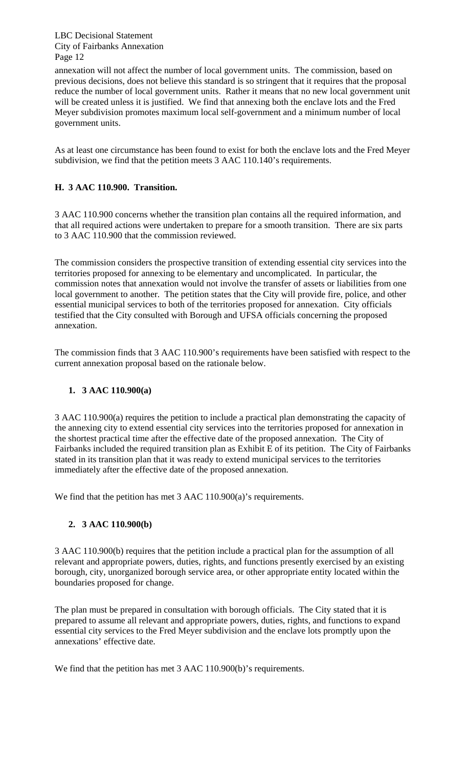annexation will not affect the number of local government units. The commission, based on previous decisions, does not believe this standard is so stringent that it requires that the proposal reduce the number of local government units. Rather it means that no new local government unit will be created unless it is justified. We find that annexing both the enclave lots and the Fred Meyer subdivision promotes maximum local self-government and a minimum number of local government units.

As at least one circumstance has been found to exist for both the enclave lots and the Fred Meyer subdivision, we find that the petition meets 3 AAC 110.140's requirements.

#### **H. 3 AAC 110.900. Transition.**

3 AAC 110.900 concerns whether the transition plan contains all the required information, and that all required actions were undertaken to prepare for a smooth transition. There are six parts to 3 AAC 110.900 that the commission reviewed.

The commission considers the prospective transition of extending essential city services into the territories proposed for annexing to be elementary and uncomplicated. In particular, the commission notes that annexation would not involve the transfer of assets or liabilities from one local government to another. The petition states that the City will provide fire, police, and other essential municipal services to both of the territories proposed for annexation. City officials testified that the City consulted with Borough and UFSA officials concerning the proposed annexation.

The commission finds that 3 AAC 110.900's requirements have been satisfied with respect to the current annexation proposal based on the rationale below.

#### **1. 3 AAC 110.900(a)**

3 AAC 110.900(a) requires the petition to include a practical plan demonstrating the capacity of the annexing city to extend essential city services into the territories proposed for annexation in the shortest practical time after the effective date of the proposed annexation. The City of Fairbanks included the required transition plan as Exhibit E of its petition. The City of Fairbanks stated in its transition plan that it was ready to extend municipal services to the territories immediately after the effective date of the proposed annexation.

We find that the petition has met 3 AAC 110.900(a)'s requirements.

#### **2. 3 AAC 110.900(b)**

3 AAC 110.900(b) requires that the petition include a practical plan for the assumption of all relevant and appropriate powers, duties, rights, and functions presently exercised by an existing borough, city, unorganized borough service area, or other appropriate entity located within the boundaries proposed for change.

The plan must be prepared in consultation with borough officials.The City stated that it is prepared to assume all relevant and appropriate powers, duties, rights, and functions to expand essential city services to the Fred Meyer subdivision and the enclave lots promptly upon the annexations' effective date.

We find that the petition has met 3 AAC 110.900(b)'s requirements.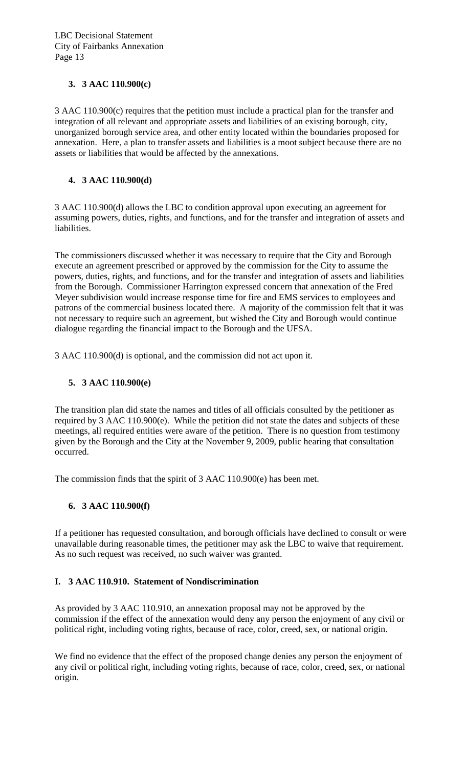#### **3. 3 AAC 110.900(c)**

3 AAC 110.900(c) requires that the petition must include a practical plan for the transfer and integration of all relevant and appropriate assets and liabilities of an existing borough, city, unorganized borough service area, and other entity located within the boundaries proposed for annexation. Here, a plan to transfer assets and liabilities is a moot subject because there are no assets or liabilities that would be affected by the annexations.

#### **4. 3 AAC 110.900(d)**

3 AAC 110.900(d) allows the LBC to condition approval upon executing an agreement for assuming powers, duties, rights, and functions, and for the transfer and integration of assets and liabilities.

The commissioners discussed whether it was necessary to require that the City and Borough execute an agreement prescribed or approved by the commission for the City to assume the powers, duties, rights, and functions, and for the transfer and integration of assets and liabilities from the Borough. Commissioner Harrington expressed concern that annexation of the Fred Meyer subdivision would increase response time for fire and EMS services to employees and patrons of the commercial business located there. A majority of the commission felt that it was not necessary to require such an agreement, but wished the City and Borough would continue dialogue regarding the financial impact to the Borough and the UFSA.

3 AAC 110.900(d) is optional, and the commission did not act upon it.

#### **5. 3 AAC 110.900(e)**

The transition plan did state the names and titles of all officials consulted by the petitioner as required by 3 AAC 110.900(e). While the petition did not state the dates and subjects of these meetings, all required entities were aware of the petition. There is no question from testimony given by the Borough and the City at the November 9, 2009, public hearing that consultation occurred.

The commission finds that the spirit of 3 AAC 110.900(e) has been met.

#### **6. 3 AAC 110.900(f)**

If a petitioner has requested consultation, and borough officials have declined to consult or were unavailable during reasonable times, the petitioner may ask the LBC to waive that requirement. As no such request was received, no such waiver was granted.

#### **I. 3 AAC 110.910. Statement of Nondiscrimination**

As provided by 3 AAC 110.910, an annexation proposal may not be approved by the commission if the effect of the annexation would deny any person the enjoyment of any civil or political right, including voting rights, because of race, color, creed, sex, or national origin.

We find no evidence that the effect of the proposed change denies any person the enjoyment of any civil or political right, including voting rights, because of race, color, creed, sex, or national origin.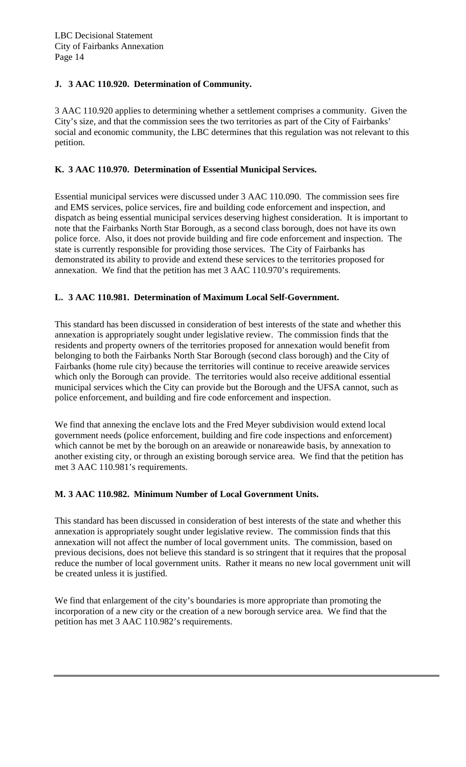#### **J. 3 AAC 110.920. Determination of Community.**

3 AAC 110.920 applies to determining whether a settlement comprises a community. Given the City's size, and that the commission sees the two territories as part of the City of Fairbanks' social and economic community, the LBC determines that this regulation was not relevant to this petition.

#### **K. 3 AAC 110.970. Determination of Essential Municipal Services.**

Essential municipal services were discussed under 3 AAC 110.090. The commission sees fire and EMS services, police services, fire and building code enforcement and inspection, and dispatch as being essential municipal services deserving highest consideration. It is important to note that the Fairbanks North Star Borough, as a second class borough, does not have its own police force. Also, it does not provide building and fire code enforcement and inspection. The state is currently responsible for providing those services. The City of Fairbanks has demonstrated its ability to provide and extend these services to the territories proposed for annexation. We find that the petition has met 3 AAC 110.970's requirements.

#### **L. 3 AAC 110.981. Determination of Maximum Local Self-Government.**

This standard has been discussed in consideration of best interests of the state and whether this annexation is appropriately sought under legislative review. The commission finds that the residents and property owners of the territories proposed for annexation would benefit from belonging to both the Fairbanks North Star Borough (second class borough) and the City of Fairbanks (home rule city) because the territories will continue to receive areawide services which only the Borough can provide. The territories would also receive additional essential municipal services which the City can provide but the Borough and the UFSA cannot, such as police enforcement, and building and fire code enforcement and inspection.

We find that annexing the enclave lots and the Fred Meyer subdivision would extend local government needs (police enforcement, building and fire code inspections and enforcement) which cannot be met by the borough on an areawide or nonareawide basis, by annexation to another existing city, or through an existing borough service area. We find that the petition has met 3 AAC 110.981's requirements.

#### **M. 3 AAC 110.982. Minimum Number of Local Government Units.**

This standard has been discussed in consideration of best interests of the state and whether this annexation is appropriately sought under legislative review. The commission finds that this annexation will not affect the number of local government units. The commission, based on previous decisions, does not believe this standard is so stringent that it requires that the proposal reduce the number of local government units. Rather it means no new local government unit will be created unless it is justified.

We find that enlargement of the city's boundaries is more appropriate than promoting the incorporation of a new city or the creation of a new borough service area. We find that the petition has met 3 AAC 110.982's requirements.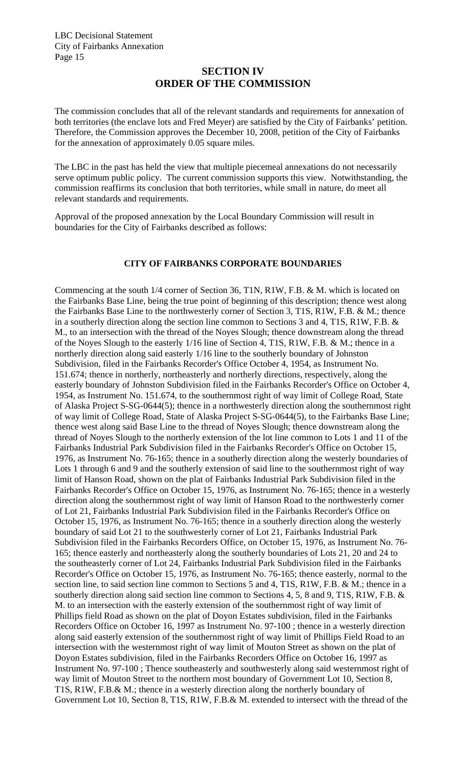#### **SECTION IV ORDER OF THE COMMISSION**

The commission concludes that all of the relevant standards and requirements for annexation of both territories (the enclave lots and Fred Meyer) are satisfied by the City of Fairbanks' petition. Therefore, the Commission approves the December 10, 2008, petition of the City of Fairbanks for the annexation of approximately 0.05 square miles.

The LBC in the past has held the view that multiple piecemeal annexations do not necessarily serve optimum public policy. The current commission supports this view. Notwithstanding, the commission reaffirms its conclusion that both territories, while small in nature, do meet all relevant standards and requirements.

Approval of the proposed annexation by the Local Boundary Commission will result in boundaries for the City of Fairbanks described as follows:

#### **CITY OF FAIRBANKS CORPORATE BOUNDARIES**

Commencing at the south 1/4 corner of Section 36, T1N, R1W, F.B. & M. which is located on the Fairbanks Base Line, being the true point of beginning of this description; thence west along the Fairbanks Base Line to the northwesterly corner of Section 3, T1S, R1W, F.B. & M.; thence in a southerly direction along the section line common to Sections 3 and 4, T1S, R1W, F.B. & M., to an intersection with the thread of the Noyes Slough; thence downstream along the thread of the Noyes Slough to the easterly 1/16 line of Section 4, T1S, R1W, F.B. & M.; thence in a northerly direction along said easterly 1/16 line to the southerly boundary of Johnston Subdivision, filed in the Fairbanks Recorder's Office October 4, 1954, as Instrument No. 151.674; thence in northerly, northeasterly and northerly directions, respectively, along the easterly boundary of Johnston Subdivision filed in the Fairbanks Recorder's Office on October 4, 1954, as Instrument No. 151.674, to the southernmost right of way limit of College Road, State of Alaska Project S-SG-0644(5); thence in a northwesterly direction along the southernmost right of way limit of College Road, State of Alaska Project S-SG-0644(5), to the Fairbanks Base Line; thence west along said Base Line to the thread of Noyes Slough; thence downstream along the thread of Noyes Slough to the northerly extension of the lot line common to Lots 1 and 11 of the Fairbanks Industrial Park Subdivision filed in the Fairbanks Recorder's Office on October 15, 1976, as Instrument No. 76-165; thence in a southerly direction along the westerly boundaries of Lots 1 through 6 and 9 and the southerly extension of said line to the southernmost right of way limit of Hanson Road, shown on the plat of Fairbanks Industrial Park Subdivision filed in the Fairbanks Recorder's Office on October 15, 1976, as Instrument No. 76-165; thence in a westerly direction along the southernmost right of way limit of Hanson Road to the northwesterly corner of Lot 21, Fairbanks Industrial Park Subdivision filed in the Fairbanks Recorder's Office on October 15, 1976, as Instrument No. 76-165; thence in a southerly direction along the westerly boundary of said Lot 21 to the southwesterly corner of Lot 21, Fairbanks Industrial Park Subdivision filed in the Fairbanks Recorders Office, on October 15, 1976, as Instrument No. 76- 165; thence easterly and northeasterly along the southerly boundaries of Lots 21, 20 and 24 to the southeasterly corner of Lot 24, Fairbanks Industrial Park Subdivision filed in the Fairbanks Recorder's Office on October 15, 1976, as Instrument No. 76-165; thence easterly, normal to the section line, to said section line common to Sections 5 and 4, T1S, R1W, F.B. & M.; thence in a southerly direction along said section line common to Sections 4, 5, 8 and 9, T1S, R1W, F.B. & M. to an intersection with the easterly extension of the southernmost right of way limit of Phillips field Road as shown on the plat of Doyon Estates subdivision, filed in the Fairbanks Recorders Office on October 16, 1997 as Instrument No. 97-100 ; thence in a westerly direction along said easterly extension of the southernmost right of way limit of Phillips Field Road to an intersection with the westernmost right of way limit of Mouton Street as shown on the plat of Doyon Estates subdivision, filed in the Fairbanks Recorders Office on October 16, 1997 as Instrument No. 97-100 ; Thence southeasterly and southwesterly along said westernmost right of way limit of Mouton Street to the northern most boundary of Government Lot 10, Section 8, T1S, R1W, F.B.& M.; thence in a westerly direction along the northerly boundary of Government Lot 10, Section 8, T1S, R1W, F.B.& M. extended to intersect with the thread of the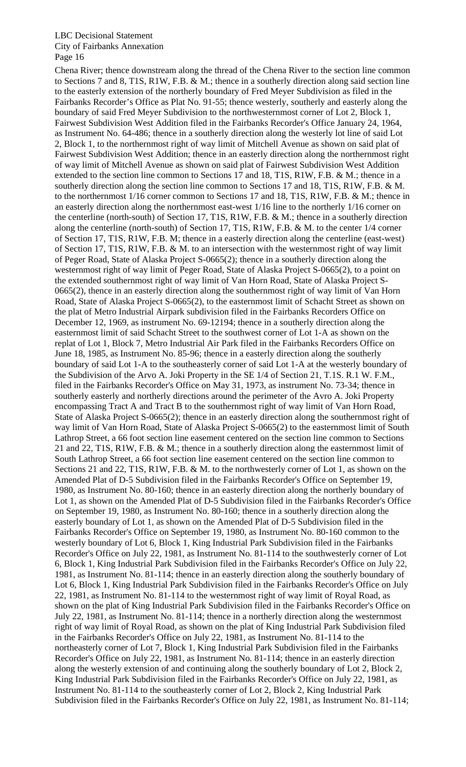Chena River; thence downstream along the thread of the Chena River to the section line common to Sections 7 and 8, T1S, R1W, F.B. & M.; thence in a southerly direction along said section line to the easterly extension of the northerly boundary of Fred Meyer Subdivision as filed in the Fairbanks Recorder's Office as Plat No. 91-55; thence westerly, southerly and easterly along the boundary of said Fred Meyer Subdivision to the northwesternmost corner of Lot 2, Block 1, Fairwest Subdivision West Addition filed in the Fairbanks Recorder's Office January 24, 1964, as Instrument No. 64-486; thence in a southerly direction along the westerly lot line of said Lot 2, Block 1, to the northernmost right of way limit of Mitchell Avenue as shown on said plat of Fairwest Subdivision West Addition; thence in an easterly direction along the northernmost right of way limit of Mitchell Avenue as shown on said plat of Fairwest Subdivision West Addition extended to the section line common to Sections 17 and 18, T1S, R1W, F.B. & M.; thence in a southerly direction along the section line common to Sections 17 and 18, T1S, R1W, F.B. & M. to the northernmost 1/16 corner common to Sections 17 and 18, T1S, R1W, F.B. & M.; thence in an easterly direction along the northernmost east-west 1/16 line to the northerly 1/16 corner on the centerline (north-south) of Section 17, T1S, R1W, F.B. & M.; thence in a southerly direction along the centerline (north-south) of Section 17, T1S, R1W, F.B. & M. to the center 1/4 corner of Section 17, T1S, R1W, F.B. M; thence in a easterly direction along the centerline (east-west) of Section 17, T1S, R1W, F.B. & M. to an intersection with the westernmost right of way limit of Peger Road, State of Alaska Project S-0665(2); thence in a southerly direction along the westernmost right of way limit of Peger Road, State of Alaska Project S-0665(2), to a point on the extended southernmost right of way limit of Van Horn Road, State of Alaska Project S-0665(2), thence in an easterly direction along the southernmost right of way limit of Van Horn Road, State of Alaska Project S-0665(2), to the easternmost limit of Schacht Street as shown on the plat of Metro Industrial Airpark subdivision filed in the Fairbanks Recorders Office on December 12, 1969, as instrument No. 69-12194; thence in a southerly direction along the easternmost limit of said Schacht Street to the southwest corner of Lot 1-A as shown on the replat of Lot 1, Block 7, Metro Industrial Air Park filed in the Fairbanks Recorders Office on June 18, 1985, as Instrument No. 85-96; thence in a easterly direction along the southerly boundary of said Lot 1-A to the southeasterly corner of said Lot 1-A at the westerly boundary of the Subdivision of the Arvo A. Joki Property in the SE 1/4 of Section 21, T.1S. R.1 W. F.M., filed in the Fairbanks Recorder's Office on May 31, 1973, as instrument No. 73-34; thence in southerly easterly and northerly directions around the perimeter of the Avro A. Joki Property encompassing Tract A and Tract B to the southernmost right of way limit of Van Horn Road, State of Alaska Project S-0665(2); thence in an easterly direction along the southernmost right of way limit of Van Horn Road, State of Alaska Project S-0665(2) to the easternmost limit of South Lathrop Street, a 66 foot section line easement centered on the section line common to Sections 21 and 22, T1S, R1W, F.B. & M.; thence in a southerly direction along the easternmost limit of South Lathrop Street, a 66 foot section line easement centered on the section line common to Sections 21 and 22, T1S, R1W, F.B. & M. to the northwesterly corner of Lot 1, as shown on the Amended Plat of D-5 Subdivision filed in the Fairbanks Recorder's Office on September 19, 1980, as Instrument No. 80-160; thence in an easterly direction along the northerly boundary of Lot 1, as shown on the Amended Plat of D-5 Subdivision filed in the Fairbanks Recorder's Office on September 19, 1980, as Instrument No. 80-160; thence in a southerly direction along the easterly boundary of Lot 1, as shown on the Amended Plat of D-5 Subdivision filed in the Fairbanks Recorder's Office on September 19, 1980, as Instrument No. 80-160 common to the westerly boundary of Lot 6, Block 1, King Industrial Park Subdivision filed in the Fairbanks Recorder's Office on July 22, 1981, as Instrument No. 81-114 to the southwesterly corner of Lot 6, Block 1, King Industrial Park Subdivision filed in the Fairbanks Recorder's Office on July 22, 1981, as Instrument No. 81-114; thence in an easterly direction along the southerly boundary of Lot 6, Block 1, King Industrial Park Subdivision filed in the Fairbanks Recorder's Office on July 22, 1981, as Instrument No. 81-114 to the westernmost right of way limit of Royal Road, as shown on the plat of King Industrial Park Subdivision filed in the Fairbanks Recorder's Office on July 22, 1981, as Instrument No. 81-114; thence in a northerly direction along the westernmost right of way limit of Royal Road, as shown on the plat of King Industrial Park Subdivision filed in the Fairbanks Recorder's Office on July 22, 1981, as Instrument No. 81-114 to the northeasterly corner of Lot 7, Block 1, King Industrial Park Subdivision filed in the Fairbanks Recorder's Office on July 22, 1981, as Instrument No. 81-114; thence in an easterly direction along the westerly extension of and continuing along the southerly boundary of Lot 2, Block 2, King Industrial Park Subdivision filed in the Fairbanks Recorder's Office on July 22, 1981, as Instrument No. 81-114 to the southeasterly corner of Lot 2, Block 2, King Industrial Park Subdivision filed in the Fairbanks Recorder's Office on July 22, 1981, as Instrument No. 81-114;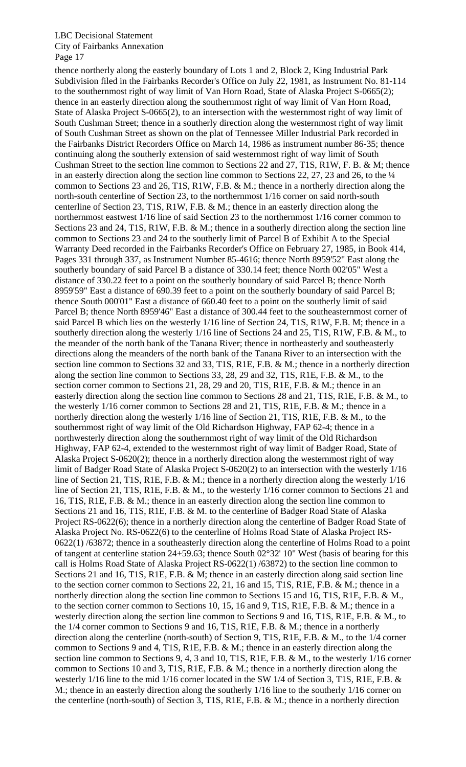thence northerly along the easterly boundary of Lots 1 and 2, Block 2, King Industrial Park Subdivision filed in the Fairbanks Recorder's Office on July 22, 1981, as Instrument No. 81-114 to the southernmost right of way limit of Van Horn Road, State of Alaska Project S-0665(2); thence in an easterly direction along the southernmost right of way limit of Van Horn Road, State of Alaska Project S-0665(2), to an intersection with the westernmost right of way limit of South Cushman Street; thence in a southerly direction along the westernmost right of way limit of South Cushman Street as shown on the plat of Tennessee Miller Industrial Park recorded in the Fairbanks District Recorders Office on March 14, 1986 as instrument number 86-35; thence continuing along the southerly extension of said westernmost right of way limit of South Cushman Street to the section line common to Sections 22 and 27, T1S, R1W, F. B. & M; thence in an easterly direction along the section line common to Sections 22, 27, 23 and 26, to the  $\frac{1}{4}$ common to Sections 23 and 26, T1S, R1W, F.B. & M.; thence in a northerly direction along the north-south centerline of Section 23, to the northernmost 1/16 corner on said north-south centerline of Section 23, T1S, R1W, F.B. & M.; thence in an easterly direction along the northernmost eastwest 1/16 line of said Section 23 to the northernmost 1/16 corner common to Sections 23 and 24, T1S, R1W, F.B. & M.; thence in a southerly direction along the section line common to Sections 23 and 24 to the southerly limit of Parcel B of Exhibit A to the Special Warranty Deed recorded in the Fairbanks Recorder's Office on February 27, 1985, in Book 414, Pages 331 through 337, as Instrument Number 85-4616; thence North 8959'52" East along the southerly boundary of said Parcel B a distance of 330.14 feet; thence North 002'05" West a distance of 330.22 feet to a point on the southerly boundary of said Parcel B; thence North 8959'59" East a distance of 690.39 feet to a point on the southerly boundary of said Parcel B; thence South 000'01" East a distance of 660.40 feet to a point on the southerly limit of said Parcel B; thence North 8959'46" East a distance of 300.44 feet to the southeasternmost corner of said Parcel B which lies on the westerly 1/16 line of Section 24, T1S, R1W, F.B. M; thence in a southerly direction along the westerly 1/16 line of Sections 24 and 25, T1S, R1W, F.B. & M., to the meander of the north bank of the Tanana River; thence in northeasterly and southeasterly directions along the meanders of the north bank of the Tanana River to an intersection with the section line common to Sections 32 and 33, T1S, R1E, F.B. & M.; thence in a northerly direction along the section line common to Sections 33, 28, 29 and 32, T1S, R1E, F.B. & M., to the section corner common to Sections 21, 28, 29 and 20, T1S, R1E, F.B. & M.; thence in an easterly direction along the section line common to Sections 28 and 21, T1S, R1E, F.B. & M., to the westerly 1/16 corner common to Sections 28 and 21, T1S, R1E, F.B. & M.; thence in a northerly direction along the westerly 1/16 line of Section 21, T1S, R1E, F.B. & M., to the southernmost right of way limit of the Old Richardson Highway, FAP 62-4; thence in a northwesterly direction along the southernmost right of way limit of the Old Richardson Highway, FAP 62-4, extended to the westernmost right of way limit of Badger Road, State of Alaska Project S-0620(2); thence in a northerly direction along the westernmost right of way limit of Badger Road State of Alaska Project S-0620(2) to an intersection with the westerly 1/16 line of Section 21, T1S, R1E, F.B. & M.; thence in a northerly direction along the westerly 1/16 line of Section 21, T1S, R1E, F.B. & M., to the westerly 1/16 corner common to Sections 21 and 16, T1S, R1E, F.B. & M.; thence in an easterly direction along the section line common to Sections 21 and 16, T1S, R1E, F.B. & M. to the centerline of Badger Road State of Alaska Project RS-0622(6); thence in a northerly direction along the centerline of Badger Road State of Alaska Project No. RS-0622(6) to the centerline of Holms Road State of Alaska Project RS-0622(1) /63872; thence in a southeasterly direction along the centerline of Holms Road to a point of tangent at centerline station 24+59.63; thence South 02°32' 10" West (basis of bearing for this call is Holms Road State of Alaska Project RS-0622(1) /63872) to the section line common to Sections 21 and 16, T1S, R1E, F.B. & M; thence in an easterly direction along said section line to the section corner common to Sections 22, 21, 16 and 15, T1S, R1E, F.B. & M.; thence in a northerly direction along the section line common to Sections 15 and 16, T1S, R1E, F.B. & M., to the section corner common to Sections 10, 15, 16 and 9, T1S, R1E, F.B. & M.; thence in a westerly direction along the section line common to Sections 9 and 16, T1S, R1E, F.B. & M., to the 1/4 corner common to Sections 9 and 16, T1S, R1E, F.B. & M.; thence in a northerly direction along the centerline (north-south) of Section 9, T1S, R1E, F.B. & M., to the 1/4 corner common to Sections 9 and 4, T1S, R1E, F.B. & M.; thence in an easterly direction along the section line common to Sections 9, 4, 3 and 10, T1S, R1E, F.B. & M., to the westerly 1/16 corner common to Sections 10 and 3, T1S, R1E, F.B. & M.; thence in a northerly direction along the westerly 1/16 line to the mid 1/16 corner located in the SW 1/4 of Section 3, T1S, R1E, F.B. & M.; thence in an easterly direction along the southerly 1/16 line to the southerly 1/16 corner on the centerline (north-south) of Section 3, T1S, R1E, F.B. & M.; thence in a northerly direction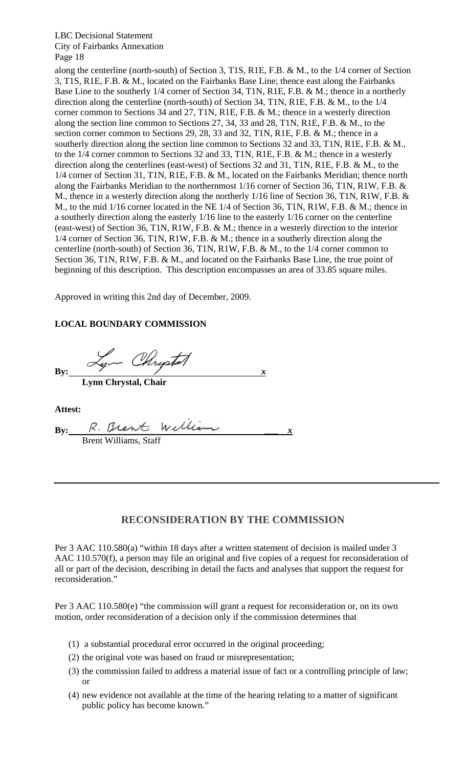along the centerline (north-south) of Section 3, T1S, R1E, F.B. & M., to the 1/4 corner of Section 3, T1S, R1E, F.B. & M., located on the Fairbanks Base Line; thence east along the Fairbanks Base Line to the southerly 1/4 corner of Section 34, T1N, R1E, F.B. & M.; thence in a northerly direction along the centerline (north-south) of Section 34, T1N, R1E, F.B. & M., to the 1/4 corner common to Sections 34 and 27, T1N, R1E, F.B. & M.; thence in a westerly direction along the section line common to Sections 27, 34, 33 and 28, T1N, R1E, F.B. & M., to the section corner common to Sections 29, 28, 33 and 32, T1N, R1E, F.B. & M.; thence in a southerly direction along the section line common to Sections 32 and 33, T1N, R1E, F.B. & M., to the 1/4 corner common to Sections 32 and 33, T1N, R1E, F.B. & M.; thence in a westerly direction along the centerlines (east-west) of Sections 32 and 31, T1N, R1E, F.B. & M., to the 1/4 corner of Section 31, T1N, R1E, F.B. & M., located on the Fairbanks Meridian; thence north along the Fairbanks Meridian to the northernmost 1/16 corner of Section 36, T1N, R1W, F.B. & M., thence in a westerly direction along the northerly 1/16 line of Section 36, T1N, R1W, F.B. & M., to the mid 1/16 corner located in the NE 1/4 of Section 36, T1N, R1W, F.B. & M.; thence in a southerly direction along the easterly 1/16 line to the easterly 1/16 corner on the centerline (east-west) of Section 36, T1N, R1W, F.B. & M.; thence in a westerly direction to the interior 1/4 corner of Section 36, T1N, R1W, F.B. & M.; thence in a southerly direction along the centerline (north-south) of Section 36, T1N, R1W, F.B. & M., to the 1/4 corner common to Section 36, T1N, R1W, F.B. & M., and located on the Fairbanks Base Line, the true point of beginning of this description. This description encompasses an area of 33.85 square miles.

Approved in writing this 2nd day of December, 2009.

#### **LOCAL BOUNDARY COMMISSION**

 $By:$   $\frac{L}{x}$   $\frac{L}{x}$  **Lynn Chrystal, Chair** 

**Attest:** 

| Bv: | R. Brent William      |  |  |
|-----|-----------------------|--|--|
|     | Brent Williams, Staff |  |  |

#### **RECONSIDERATION BY THE COMMISSION**

Per 3 AAC 110.580(a) "within 18 days after a written statement of decision is mailed under 3 AAC 110.570(f), a person may file an original and five copies of a request for reconsideration of all or part of the decision, describing in detail the facts and analyses that support the request for reconsideration."

Per 3 AAC 110.580(e) "the commission will grant a request for reconsideration or, on its own motion, order reconsideration of a decision only if the commission determines that

- (1) a substantial procedural error occurred in the original proceeding;
- (2) the original vote was based on fraud or misrepresentation;
- (3) the commission failed to address a material issue of fact or a controlling principle of law; or
- (4) new evidence not available at the time of the hearing relating to a matter of significant public policy has become known."